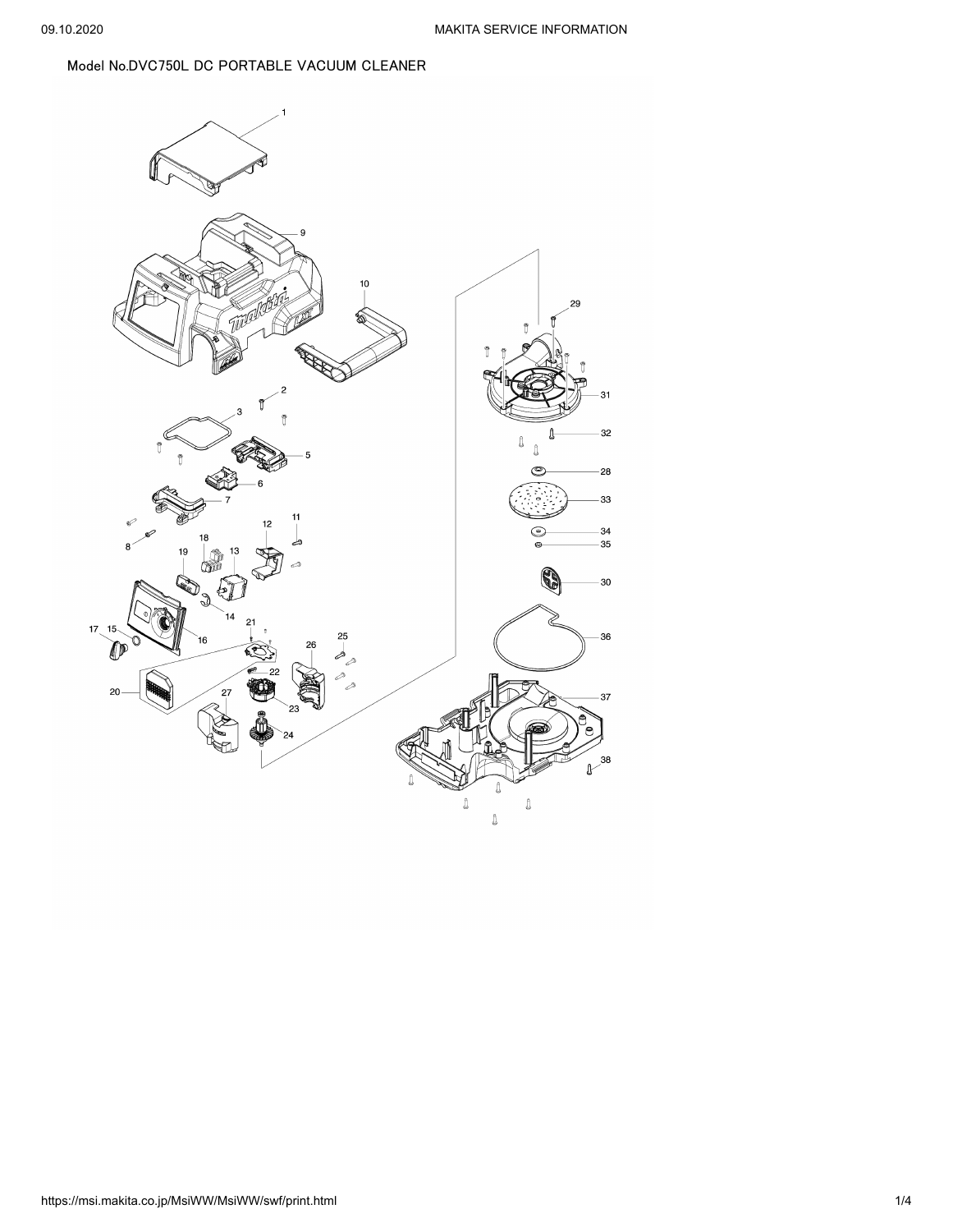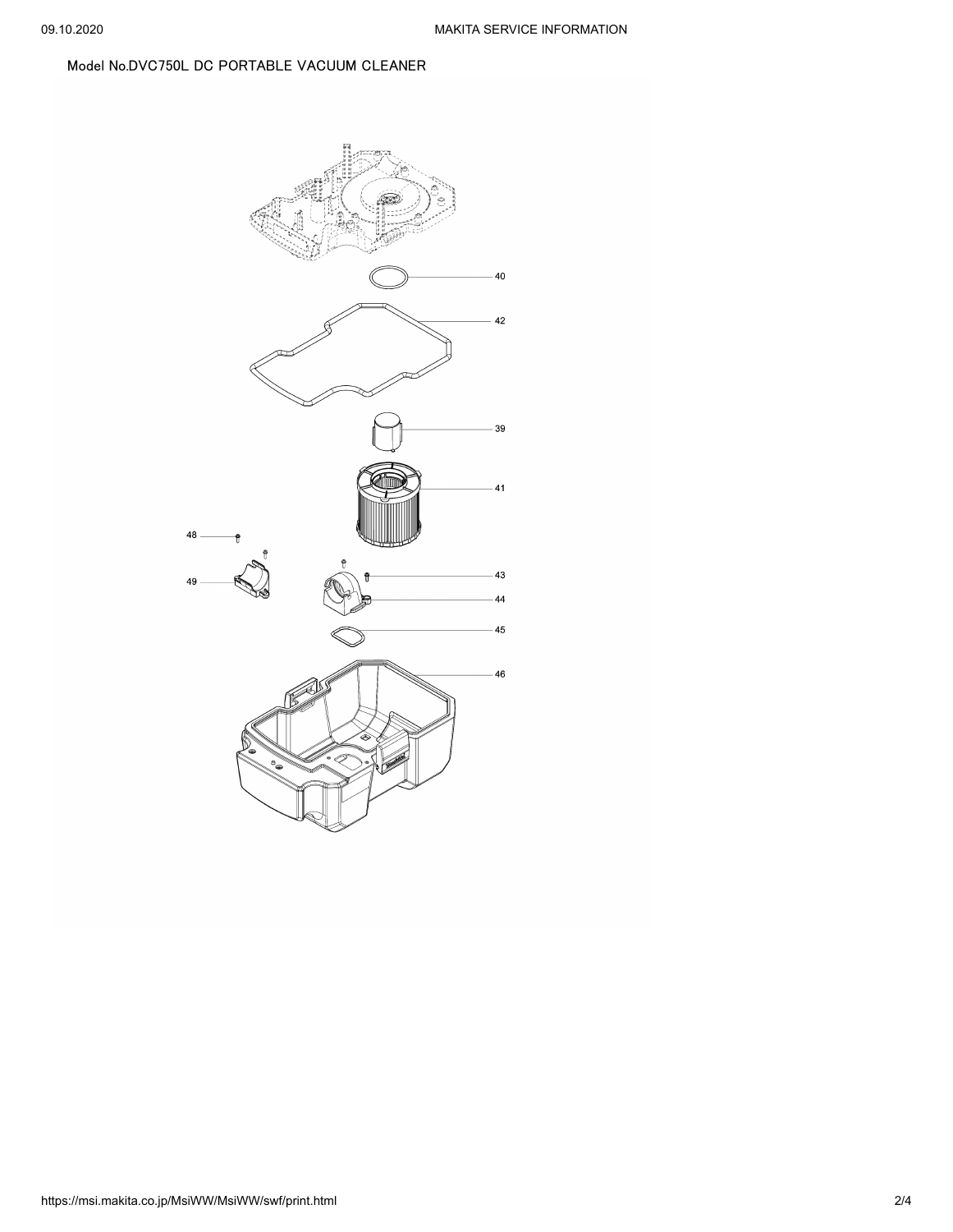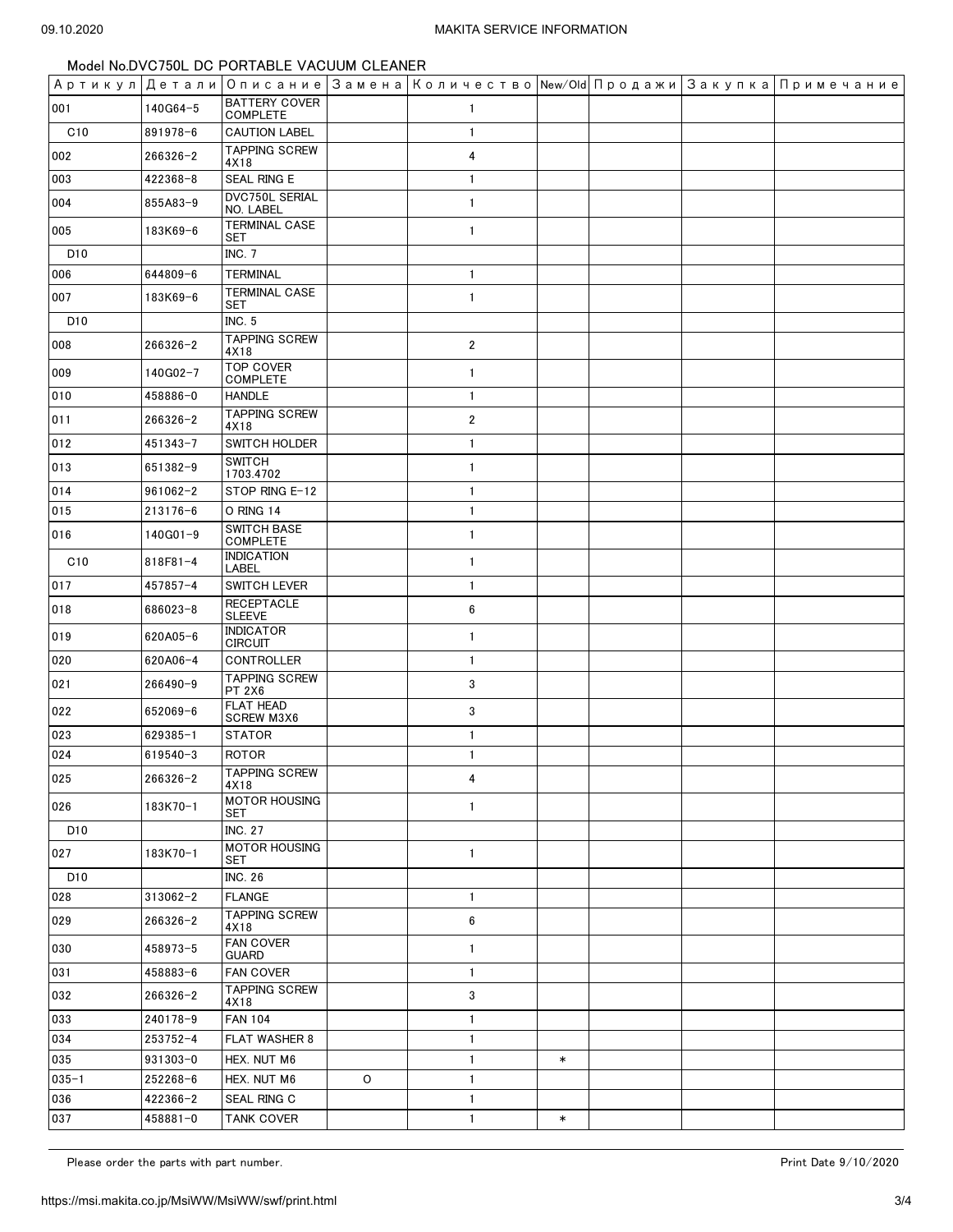|                 |              |                                       |   | Артикул Детали Описание Замена Количество New/Old Продажи Закупка Примечание |        |  |  |
|-----------------|--------------|---------------------------------------|---|------------------------------------------------------------------------------|--------|--|--|
| 001             | 140G64-5     | <b>BATTERY COVER</b><br>COMPLETE      |   | $\mathbf{1}$                                                                 |        |  |  |
| C10             | 891978-6     | <b>CAUTION LABEL</b>                  |   | $\mathbf{1}$                                                                 |        |  |  |
| 002             | $266326 - 2$ | <b>TAPPING SCREW</b><br>4X18          |   | 4                                                                            |        |  |  |
| 003             | 422368-8     | <b>SEAL RING E</b>                    |   | $\mathbf{1}$                                                                 |        |  |  |
| 004             | 855A83-9     | DVC750L SERIAL<br>NO. LABEL           |   | $\mathbf{1}$                                                                 |        |  |  |
| 005             | 183K69-6     | <b>TERMINAL CASE</b><br>SET           |   | $\mathbf{1}$                                                                 |        |  |  |
| D <sub>10</sub> |              | <b>INC. 7</b>                         |   |                                                                              |        |  |  |
| 006             | 644809-6     | <b>TERMINAL</b>                       |   | $\mathbf{1}$                                                                 |        |  |  |
| 007             | 183K69-6     | <b>TERMINAL CASE</b><br>SET           |   | $\mathbf{1}$                                                                 |        |  |  |
| D <sub>10</sub> |              | <b>INC. 5</b>                         |   |                                                                              |        |  |  |
| 008             | $266326 - 2$ | <b>TAPPING SCREW</b><br>4X18          |   | $\overline{2}$                                                               |        |  |  |
| 009             | 140G02-7     | <b>TOP COVER</b><br><b>COMPLETE</b>   |   | $\mathbf{1}$                                                                 |        |  |  |
| 010             | 458886-0     | <b>HANDLE</b>                         |   | $\mathbf{1}$                                                                 |        |  |  |
| 011             | 266326-2     | <b>TAPPING SCREW</b><br>4X18          |   | $\overline{2}$                                                               |        |  |  |
| 012             | $451343 - 7$ | SWITCH HOLDER                         |   | $\mathbf{1}$                                                                 |        |  |  |
| 013             | 651382-9     | <b>SWITCH</b><br>1703.4702            |   | $\mathbf{1}$                                                                 |        |  |  |
| 014             | $961062 - 2$ | STOP RING E-12                        |   | $\mathbf{1}$                                                                 |        |  |  |
| 015             | $213176 - 6$ | O RING 14                             |   | $\mathbf{1}$                                                                 |        |  |  |
| 016             | 140G01-9     | <b>SWITCH BASE</b><br><b>COMPLETE</b> |   | $\mathbf{1}$                                                                 |        |  |  |
| C10             | 818F81-4     | <b>INDICATION</b><br>LABEL            |   | $\mathbf{1}$                                                                 |        |  |  |
| 017             | 457857-4     | <b>SWITCH LEVER</b>                   |   | $\mathbf{1}$                                                                 |        |  |  |
| 018             | 686023-8     | <b>RECEPTACLE</b><br><b>SLEEVE</b>    |   | 6                                                                            |        |  |  |
| 019             | 620A05-6     | <b>INDICATOR</b><br><b>CIRCUIT</b>    |   | $\mathbf{1}$                                                                 |        |  |  |
| 020             | 620A06-4     | <b>CONTROLLER</b>                     |   | $\mathbf{1}$                                                                 |        |  |  |
| 021             | $266490 - 9$ | <b>TAPPING SCREW</b><br><b>PT 2X6</b> |   | 3                                                                            |        |  |  |
| 022             | 652069-6     | <b>FLAT HEAD</b><br><b>SCREW M3X6</b> |   | 3                                                                            |        |  |  |
| 023             | 629385-1     | <b>STATOR</b>                         |   | $\mathbf{1}$                                                                 |        |  |  |
| 024             | 619540-3     | <b>ROTOR</b>                          |   | $\mathbf{1}$                                                                 |        |  |  |
| 025             | 266326-2     | <b>TAPPING SCREW</b><br>4X18          |   | 4                                                                            |        |  |  |
| 026             | 183K70-1     | <b>MOTOR HOUSING</b><br>SET           |   | $\mathbf{1}$                                                                 |        |  |  |
| D <sub>10</sub> |              | <b>INC. 27</b>                        |   |                                                                              |        |  |  |
| 027             | 183K70-1     | <b>MOTOR HOUSING</b><br>SET           |   | $\mathbf{1}$                                                                 |        |  |  |
| D <sub>10</sub> |              | <b>INC. 26</b>                        |   |                                                                              |        |  |  |
| 028             | $313062 - 2$ | <b>FLANGE</b>                         |   | $\mathbf{1}$                                                                 |        |  |  |
| 029             | 266326-2     | <b>TAPPING SCREW</b><br>4X18          |   | 6                                                                            |        |  |  |
| 030             | 458973-5     | <b>FAN COVER</b><br><b>GUARD</b>      |   | $\mathbf{1}$                                                                 |        |  |  |
| 031             | 458883-6     | <b>FAN COVER</b>                      |   | $\mathbf{1}$                                                                 |        |  |  |
| 032             | 266326-2     | <b>TAPPING SCREW</b><br>4X18          |   | 3                                                                            |        |  |  |
| 033             | 240178-9     | <b>FAN 104</b>                        |   | $\mathbf{1}$                                                                 |        |  |  |
| 034             | 253752-4     | <b>FLAT WASHER 8</b>                  |   | $\mathbf{1}$                                                                 |        |  |  |
| 035             | 931303-0     | HEX. NUT M6                           |   | $\mathbf{1}$                                                                 | $\ast$ |  |  |
| $035 - 1$       | 252268-6     | HEX. NUT M6                           | O | $\mathbf{1}$                                                                 |        |  |  |
| 036             | 422366-2     | SEAL RING C                           |   | $\mathbf{1}$                                                                 |        |  |  |
| 037             | $458881 - 0$ | <b>TANK COVER</b>                     |   | 1                                                                            | $\ast$ |  |  |

Please order the parts with part number.  $\blacksquare$